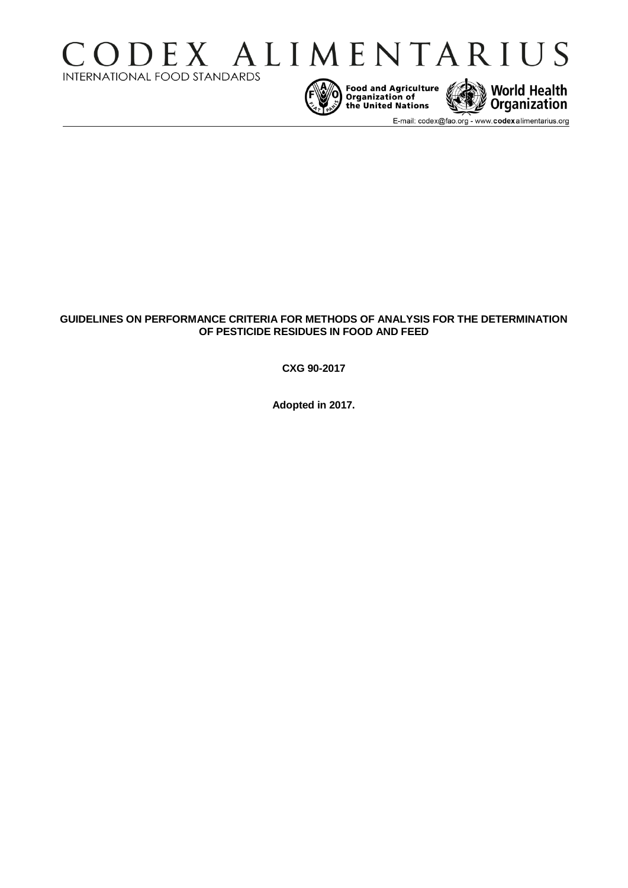





E-mail: codex@fao.org - www.codexalimentarius.org

# **GUIDELINES ON PERFORMANCE CRITERIA FOR METHODS OF ANALYSIS FOR THE DETERMINATION OF PESTICIDE RESIDUES IN FOOD AND FEED**

**CXG 90-2017**

**Adopted in 2017.**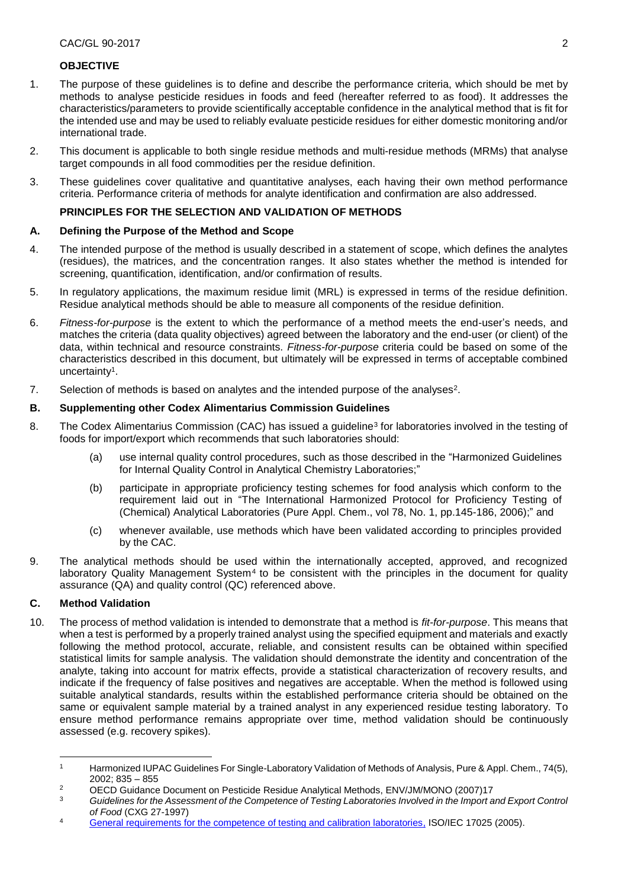#### **OBJECTIVE**

- 1. The purpose of these guidelines is to define and describe the performance criteria, which should be met by methods to analyse pesticide residues in foods and feed (hereafter referred to as food). It addresses the characteristics/parameters to provide scientifically acceptable confidence in the analytical method that is fit for the intended use and may be used to reliably evaluate pesticide residues for either domestic monitoring and/or international trade.
- 2. This document is applicable to both single residue methods and multi-residue methods (MRMs) that analyse target compounds in all food commodities per the residue definition.
- 3. These guidelines cover qualitative and quantitative analyses, each having their own method performance criteria. Performance criteria of methods for analyte identification and confirmation are also addressed.

#### **PRINCIPLES FOR THE SELECTION AND VALIDATION OF METHODS**

#### **A. Defining the Purpose of the Method and Scope**

- 4. The intended purpose of the method is usually described in a statement of scope, which defines the analytes (residues), the matrices, and the concentration ranges. It also states whether the method is intended for screening, quantification, identification, and/or confirmation of results.
- 5. In regulatory applications, the maximum residue limit (MRL) is expressed in terms of the residue definition. Residue analytical methods should be able to measure all components of the residue definition.
- 6. *Fitness-for-purpose* is the extent to which the performance of a method meets the end-user's needs, and matches the criteria (data quality objectives) agreed between the laboratory and the end-user (or client) of the data, within technical and resource constraints. *Fitness-for-purpose* criteria could be based on some of the characteristics described in this document, but ultimately will be expressed in terms of acceptable combined uncertainty<sup>1</sup>.
- 7. Selection of methods is based on analytes and the intended purpose of the analyses<sup>2</sup>.

#### **B. Supplementing other Codex Alimentarius Commission Guidelines**

- 8. The Codex Alimentarius Commission (CAC) has issued a guideline<sup>3</sup> for laboratories involved in the testing of foods for import/export which recommends that such laboratories should:
	- (a) use internal quality control procedures, such as those described in the "Harmonized Guidelines for Internal Quality Control in Analytical Chemistry Laboratories;"
	- (b) participate in appropriate proficiency testing schemes for food analysis which conform to the requirement laid out in "The International Harmonized Protocol for Proficiency Testing of (Chemical) Analytical Laboratories (Pure Appl. Chem., vol 78, No. 1, pp.145-186, 2006);" and
	- (c) whenever available, use methods which have been validated according to principles provided by the CAC.
- 9. The analytical methods should be used within the internationally accepted, approved, and recognized laboratory Quality Management System<sup>4</sup> to be consistent with the principles in the document for quality assurance (QA) and quality control (QC) referenced above.

## **C. Method Validation**

1

10. The process of method validation is intended to demonstrate that a method is *fit-for-purpose*. This means that when a test is performed by a properly trained analyst using the specified equipment and materials and exactly following the method protocol, accurate, reliable, and consistent results can be obtained within specified statistical limits for sample analysis. The validation should demonstrate the identity and concentration of the analyte, taking into account for matrix effects, provide a statistical characterization of recovery results, and indicate if the frequency of false positives and negatives are acceptable. When the method is followed using suitable analytical standards, results within the established performance criteria should be obtained on the same or equivalent sample material by a trained analyst in any experienced residue testing laboratory. To ensure method performance remains appropriate over time, method validation should be continuously assessed (e.g. recovery spikes).

<sup>1</sup> Harmonized IUPAC Guidelines For Single-Laboratory Validation of Methods of Analysis, Pure & Appl. Chem., 74(5), 2002; 835 – 855

<sup>&</sup>lt;sup>2</sup> OECD Guidance Document on Pesticide Residue Analytical Methods, ENV/JM/MONO (2007)17<br><sup>3</sup> Guidalines for the Assessment of the Competence of Testing Laboratories Involved in the Import a

Guidelines for the Assessment of the Competence of Testing Laboratories Involved in the Import and Export Control *of Food* (CXG 27-1997)

<sup>4</sup> [General requirements for the competence of testing and calibration laboratories,](http://www.iso.org/iso/catalogue_detail.htm?csnumber=39883) ISO/IEC 17025 (2005).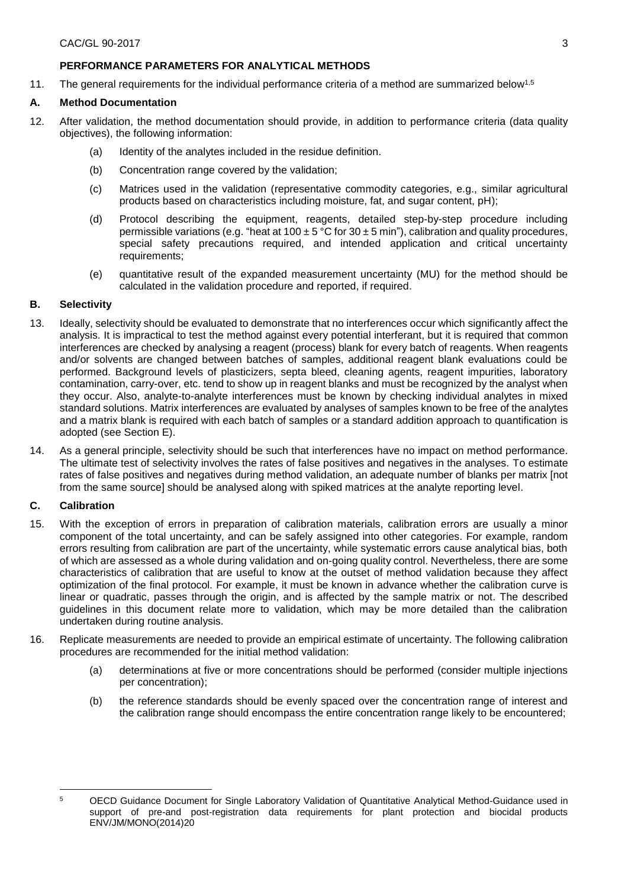## **PERFORMANCE PARAMETERS FOR ANALYTICAL METHODS**

11. The general requirements for the individual performance criteria of a method are summarized below<sup>1,5</sup>

## **A. Method Documentation**

- 12. After validation, the method documentation should provide, in addition to performance criteria (data quality objectives), the following information:
	- (a) Identity of the analytes included in the residue definition.
	- (b) Concentration range covered by the validation;
	- (c) Matrices used in the validation (representative commodity categories, e.g., similar agricultural products based on characteristics including moisture, fat, and sugar content, pH);
	- (d) Protocol describing the equipment, reagents, detailed step-by-step procedure including permissible variations (e.g. "heat at 100  $\pm$  5 °C for 30  $\pm$  5 min"), calibration and quality procedures, special safety precautions required, and intended application and critical uncertainty requirements;
	- (e) quantitative result of the expanded measurement uncertainty (MU) for the method should be calculated in the validation procedure and reported, if required.

## **B. Selectivity**

- 13. Ideally, selectivity should be evaluated to demonstrate that no interferences occur which significantly affect the analysis. It is impractical to test the method against every potential interferant, but it is required that common interferences are checked by analysing a reagent (process) blank for every batch of reagents. When reagents and/or solvents are changed between batches of samples, additional reagent blank evaluations could be performed. Background levels of plasticizers, septa bleed, cleaning agents, reagent impurities, laboratory contamination, carry-over, etc. tend to show up in reagent blanks and must be recognized by the analyst when they occur. Also, analyte-to-analyte interferences must be known by checking individual analytes in mixed standard solutions. Matrix interferences are evaluated by analyses of samples known to be free of the analytes and a matrix blank is required with each batch of samples or a standard addition approach to quantification is adopted (see Section E).
- 14. As a general principle, selectivity should be such that interferences have no impact on method performance. The ultimate test of selectivity involves the rates of false positives and negatives in the analyses. To estimate rates of false positives and negatives during method validation, an adequate number of blanks per matrix [not from the same source] should be analysed along with spiked matrices at the analyte reporting level.

## **C. Calibration**

- 15. With the exception of errors in preparation of calibration materials, calibration errors are usually a minor component of the total uncertainty, and can be safely assigned into other categories. For example, random errors resulting from calibration are part of the uncertainty, while systematic errors cause analytical bias, both of which are assessed as a whole during validation and on-going quality control. Nevertheless, there are some characteristics of calibration that are useful to know at the outset of method validation because they affect optimization of the final protocol. For example, it must be known in advance whether the calibration curve is linear or quadratic, passes through the origin, and is affected by the sample matrix or not. The described guidelines in this document relate more to validation, which may be more detailed than the calibration undertaken during routine analysis.
- 16. Replicate measurements are needed to provide an empirical estimate of uncertainty. The following calibration procedures are recommended for the initial method validation:
	- (a) determinations at five or more concentrations should be performed (consider multiple injections per concentration);
	- (b) the reference standards should be evenly spaced over the concentration range of interest and the calibration range should encompass the entire concentration range likely to be encountered;

<sup>1</sup> <sup>5</sup> OECD Guidance Document for Single Laboratory Validation of Quantitative Analytical Method-Guidance used in support of pre-and post-registration data requirements for plant protection and biocidal products ENV/JM/MONO(2014)20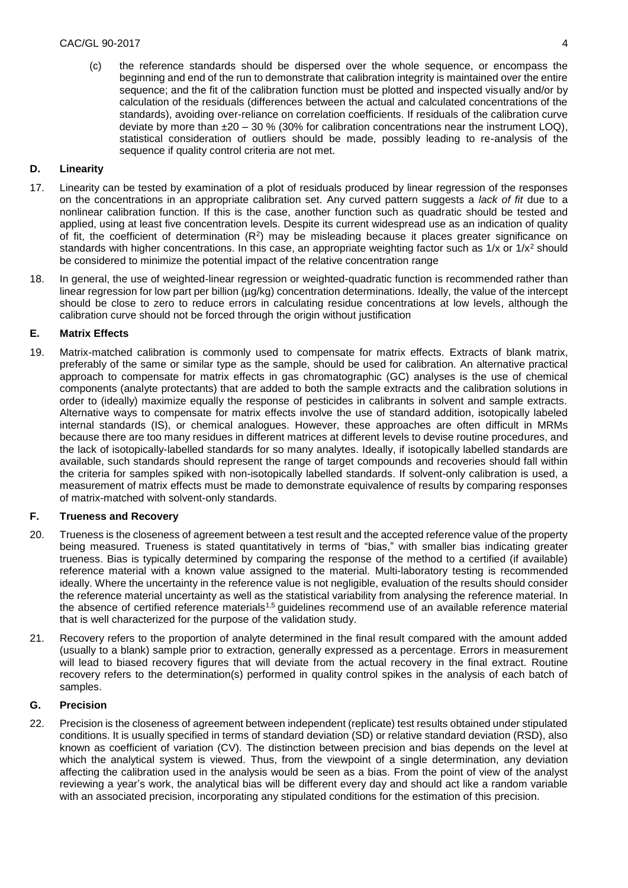(c) the reference standards should be dispersed over the whole sequence, or encompass the beginning and end of the run to demonstrate that calibration integrity is maintained over the entire sequence; and the fit of the calibration function must be plotted and inspected visually and/or by calculation of the residuals (differences between the actual and calculated concentrations of the standards), avoiding over-reliance on correlation coefficients. If residuals of the calibration curve deviate by more than  $\pm 20 - 30$  % (30% for calibration concentrations near the instrument LOQ), statistical consideration of outliers should be made, possibly leading to re-analysis of the sequence if quality control criteria are not met.

## **D. Linearity**

- 17. Linearity can be tested by examination of a plot of residuals produced by linear regression of the responses on the concentrations in an appropriate calibration set. Any curved pattern suggests a *lack of fit* due to a nonlinear calibration function. If this is the case, another function such as quadratic should be tested and applied, using at least five concentration levels. Despite its current widespread use as an indication of quality of fit, the coefficient of determination  $(R<sup>2</sup>)$  may be misleading because it places greater significance on standards with higher concentrations. In this case, an appropriate weighting factor such as  $1/x$  or  $1/x<sup>2</sup>$  should be considered to minimize the potential impact of the relative concentration range
- 18. In general, the use of weighted-linear regression or weighted-quadratic function is recommended rather than linear regression for low part per billion (µg/kg) concentration determinations. Ideally, the value of the intercept should be close to zero to reduce errors in calculating residue concentrations at low levels, although the calibration curve should not be forced through the origin without justification

## **E. Matrix Effects**

19. Matrix-matched calibration is commonly used to compensate for matrix effects. Extracts of blank matrix, preferably of the same or similar type as the sample, should be used for calibration. An alternative practical approach to compensate for matrix effects in gas chromatographic (GC) analyses is the use of chemical components (analyte protectants) that are added to both the sample extracts and the calibration solutions in order to (ideally) maximize equally the response of pesticides in calibrants in solvent and sample extracts. Alternative ways to compensate for matrix effects involve the use of standard addition, isotopically labeled internal standards (IS), or chemical analogues. However, these approaches are often difficult in MRMs because there are too many residues in different matrices at different levels to devise routine procedures, and the lack of isotopically-labelled standards for so many analytes. Ideally, if isotopically labelled standards are available, such standards should represent the range of target compounds and recoveries should fall within the criteria for samples spiked with non-isotopically labelled standards. If solvent-only calibration is used, a measurement of matrix effects must be made to demonstrate equivalence of results by comparing responses of matrix-matched with solvent-only standards.

## **F. Trueness and Recovery**

- 20. Trueness is the closeness of agreement between a test result and the accepted reference value of the property being measured. Trueness is stated quantitatively in terms of "bias," with smaller bias indicating greater trueness. Bias is typically determined by comparing the response of the method to a certified (if available) reference material with a known value assigned to the material. Multi-laboratory testing is recommended ideally. Where the uncertainty in the reference value is not negligible, evaluation of the results should consider the reference material uncertainty as well as the statistical variability from analysing the reference material. In the absence of certified reference materials<sup>1,5</sup> guidelines recommend use of an available reference material that is well characterized for the purpose of the validation study.
- 21. Recovery refers to the proportion of analyte determined in the final result compared with the amount added (usually to a blank) sample prior to extraction, generally expressed as a percentage. Errors in measurement will lead to biased recovery figures that will deviate from the actual recovery in the final extract. Routine recovery refers to the determination(s) performed in quality control spikes in the analysis of each batch of samples.

## **G. Precision**

22. Precision is the closeness of agreement between independent (replicate) test results obtained under stipulated conditions. It is usually specified in terms of standard deviation (SD) or relative standard deviation (RSD), also known as coefficient of variation (CV). The distinction between precision and bias depends on the level at which the analytical system is viewed. Thus, from the viewpoint of a single determination, any deviation affecting the calibration used in the analysis would be seen as a bias. From the point of view of the analyst reviewing a year's work, the analytical bias will be different every day and should act like a random variable with an associated precision, incorporating any stipulated conditions for the estimation of this precision.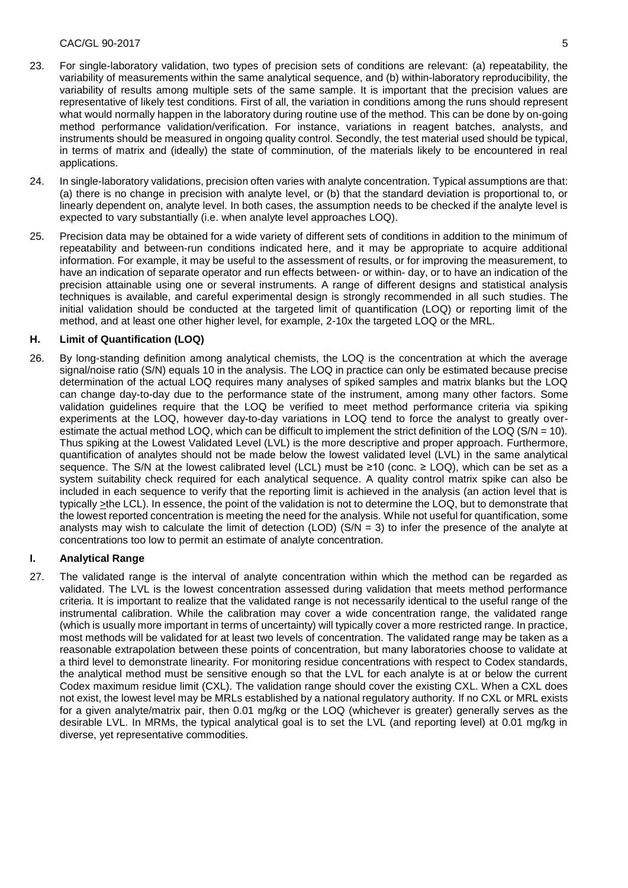#### CAC/GL 90-2017 5

- 23. For single-laboratory validation, two types of precision sets of conditions are relevant: (a) repeatability, the variability of measurements within the same analytical sequence, and (b) within-laboratory reproducibility, the variability of results among multiple sets of the same sample. It is important that the precision values are representative of likely test conditions. First of all, the variation in conditions among the runs should represent what would normally happen in the laboratory during routine use of the method. This can be done by on-going method performance validation/verification. For instance, variations in reagent batches, analysts, and instruments should be measured in ongoing quality control. Secondly, the test material used should be typical, in terms of matrix and (ideally) the state of comminution, of the materials likely to be encountered in real applications.
- 24. In single-laboratory validations, precision often varies with analyte concentration. Typical assumptions are that: (a) there is no change in precision with analyte level, or (b) that the standard deviation is proportional to, or linearly dependent on, analyte level. In both cases, the assumption needs to be checked if the analyte level is expected to vary substantially (i.e. when analyte level approaches LOQ).
- 25. Precision data may be obtained for a wide variety of different sets of conditions in addition to the minimum of repeatability and between-run conditions indicated here, and it may be appropriate to acquire additional information. For example, it may be useful to the assessment of results, or for improving the measurement, to have an indication of separate operator and run effects between- or within- day, or to have an indication of the precision attainable using one or several instruments. A range of different designs and statistical analysis techniques is available, and careful experimental design is strongly recommended in all such studies. The initial validation should be conducted at the targeted limit of quantification (LOQ) or reporting limit of the method, and at least one other higher level, for example, 2-10x the targeted LOQ or the MRL.

## **H. Limit of Quantification (LOQ)**

26. By long-standing definition among analytical chemists, the LOQ is the concentration at which the average signal/noise ratio (S/N) equals 10 in the analysis. The LOQ in practice can only be estimated because precise determination of the actual LOQ requires many analyses of spiked samples and matrix blanks but the LOQ can change day-to-day due to the performance state of the instrument, among many other factors. Some validation guidelines require that the LOQ be verified to meet method performance criteria via spiking experiments at the LOQ, however day-to-day variations in LOQ tend to force the analyst to greatly overestimate the actual method LOQ, which can be difficult to implement the strict definition of the LOQ (S/N = 10). Thus spiking at the Lowest Validated Level (LVL) is the more descriptive and proper approach. Furthermore, quantification of analytes should not be made below the lowest validated level (LVL) in the same analytical sequence. The S/N at the lowest calibrated level (LCL) must be ≥10 (conc. ≥ LOQ), which can be set as a system suitability check required for each analytical sequence. A quality control matrix spike can also be included in each sequence to verify that the reporting limit is achieved in the analysis (an action level that is typically >the LCL). In essence, the point of the validation is not to determine the LOQ, but to demonstrate that the lowest reported concentration is meeting the need for the analysis. While not useful for quantification, some analysts may wish to calculate the limit of detection (LOD) (S/N = 3) to infer the presence of the analyte at concentrations too low to permit an estimate of analyte concentration.

# **I. Analytical Range**

27. The validated range is the interval of analyte concentration within which the method can be regarded as validated. The LVL is the lowest concentration assessed during validation that meets method performance criteria. It is important to realize that the validated range is not necessarily identical to the useful range of the instrumental calibration. While the calibration may cover a wide concentration range, the validated range (which is usually more important in terms of uncertainty) will typically cover a more restricted range. In practice, most methods will be validated for at least two levels of concentration. The validated range may be taken as a reasonable extrapolation between these points of concentration, but many laboratories choose to validate at a third level to demonstrate linearity. For monitoring residue concentrations with respect to Codex standards, the analytical method must be sensitive enough so that the LVL for each analyte is at or below the current Codex maximum residue limit (CXL). The validation range should cover the existing CXL. When a CXL does not exist, the lowest level may be MRLs established by a national regulatory authority. If no CXL or MRL exists for a given analyte/matrix pair, then 0.01 mg/kg or the LOQ (whichever is greater) generally serves as the desirable LVL. In MRMs, the typical analytical goal is to set the LVL (and reporting level) at 0.01 mg/kg in diverse, yet representative commodities.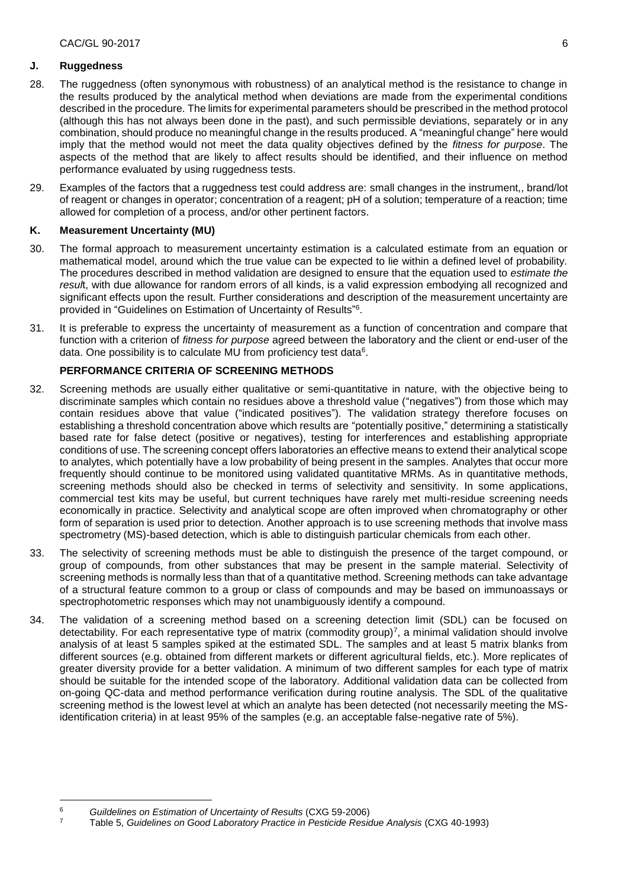#### **J. Ruggedness**

- 28. The ruggedness (often synonymous with robustness) of an analytical method is the resistance to change in the results produced by the analytical method when deviations are made from the experimental conditions described in the procedure. The limits for experimental parameters should be prescribed in the method protocol (although this has not always been done in the past), and such permissible deviations, separately or in any combination, should produce no meaningful change in the results produced. A "meaningful change" here would imply that the method would not meet the data quality objectives defined by the *fitness for purpose*. The aspects of the method that are likely to affect results should be identified, and their influence on method performance evaluated by using ruggedness tests.
- 29. Examples of the factors that a ruggedness test could address are: small changes in the instrument,, brand/lot of reagent or changes in operator; concentration of a reagent; pH of a solution; temperature of a reaction; time allowed for completion of a process, and/or other pertinent factors.

## **K. Measurement Uncertainty (MU)**

- 30. The formal approach to measurement uncertainty estimation is a calculated estimate from an equation or mathematical model, around which the true value can be expected to lie within a defined level of probability. The procedures described in method validation are designed to ensure that the equation used to *estimate the resul*t, with due allowance for random errors of all kinds, is a valid expression embodying all recognized and significant effects upon the result. Further considerations and description of the measurement uncertainty are provided in "Guidelines on Estimation of Uncertainty of Results" 6 .
- 31. It is preferable to express the uncertainty of measurement as a function of concentration and compare that function with a criterion of *fitness for purpose* agreed between the laboratory and the client or end-user of the data. One possibility is to calculate MU from proficiency test data<sup>6</sup>.

# **PERFORMANCE CRITERIA OF SCREENING METHODS**

- 32. Screening methods are usually either qualitative or semi-quantitative in nature, with the objective being to discriminate samples which contain no residues above a threshold value ("negatives") from those which may contain residues above that value ("indicated positives"). The validation strategy therefore focuses on establishing a threshold concentration above which results are "potentially positive," determining a statistically based rate for false detect (positive or negatives), testing for interferences and establishing appropriate conditions of use. The screening concept offers laboratories an effective means to extend their analytical scope to analytes, which potentially have a low probability of being present in the samples. Analytes that occur more frequently should continue to be monitored using validated quantitative MRMs. As in quantitative methods, screening methods should also be checked in terms of selectivity and sensitivity. In some applications, commercial test kits may be useful, but current techniques have rarely met multi-residue screening needs economically in practice. Selectivity and analytical scope are often improved when chromatography or other form of separation is used prior to detection. Another approach is to use screening methods that involve mass spectrometry (MS)-based detection, which is able to distinguish particular chemicals from each other.
- 33. The selectivity of screening methods must be able to distinguish the presence of the target compound, or group of compounds, from other substances that may be present in the sample material. Selectivity of screening methods is normally less than that of a quantitative method. Screening methods can take advantage of a structural feature common to a group or class of compounds and may be based on immunoassays or spectrophotometric responses which may not unambiguously identify a compound.
- 34. The validation of a screening method based on a screening detection limit (SDL) can be focused on detectability. For each representative type of matrix (commodity group)<sup>7</sup> , a minimal validation should involve analysis of at least 5 samples spiked at the estimated SDL. The samples and at least 5 matrix blanks from different sources (e.g. obtained from different markets or different agricultural fields, etc.). More replicates of greater diversity provide for a better validation. A minimum of two different samples for each type of matrix should be suitable for the intended scope of the laboratory. Additional validation data can be collected from on-going QC-data and method performance verification during routine analysis. The SDL of the qualitative screening method is the lowest level at which an analyte has been detected (not necessarily meeting the MSidentification criteria) in at least 95% of the samples (e.g. an acceptable false-negative rate of 5%).

<u>.</u>

<sup>6</sup> *Guildelines on Estimation of Uncertainty of Results* (CXG 59-2006)

<sup>7</sup> Table 5, *Guidelines on Good Laboratory Practice in Pesticide Residue Analysis* (CXG 40-1993)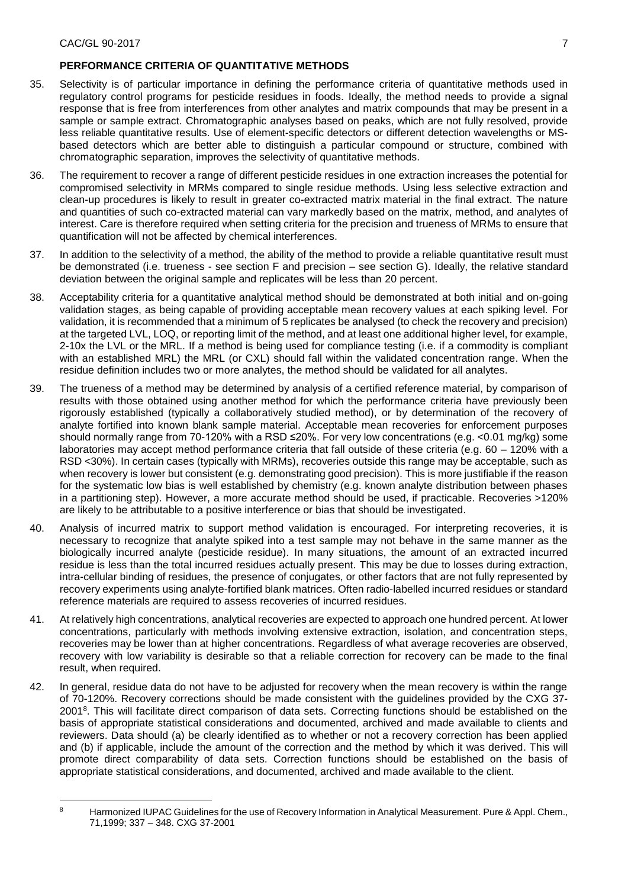## **PERFORMANCE CRITERIA OF QUANTITATIVE METHODS**

- 35. Selectivity is of particular importance in defining the performance criteria of quantitative methods used in regulatory control programs for pesticide residues in foods. Ideally, the method needs to provide a signal response that is free from interferences from other analytes and matrix compounds that may be present in a sample or sample extract. Chromatographic analyses based on peaks, which are not fully resolved, provide less reliable quantitative results. Use of element-specific detectors or different detection wavelengths or MSbased detectors which are better able to distinguish a particular compound or structure, combined with chromatographic separation, improves the selectivity of quantitative methods.
- 36. The requirement to recover a range of different pesticide residues in one extraction increases the potential for compromised selectivity in MRMs compared to single residue methods. Using less selective extraction and clean-up procedures is likely to result in greater co-extracted matrix material in the final extract. The nature and quantities of such co-extracted material can vary markedly based on the matrix, method, and analytes of interest. Care is therefore required when setting criteria for the precision and trueness of MRMs to ensure that quantification will not be affected by chemical interferences.
- 37. In addition to the selectivity of a method, the ability of the method to provide a reliable quantitative result must be demonstrated (i.e. trueness - see section F and precision – see section G). Ideally, the relative standard deviation between the original sample and replicates will be less than 20 percent.
- 38. Acceptability criteria for a quantitative analytical method should be demonstrated at both initial and on-going validation stages, as being capable of providing acceptable mean recovery values at each spiking level. For validation, it is recommended that a minimum of 5 replicates be analysed (to check the recovery and precision) at the targeted LVL, LOQ, or reporting limit of the method, and at least one additional higher level, for example, 2-10x the LVL or the MRL. If a method is being used for compliance testing (i.e. if a commodity is compliant with an established MRL) the MRL (or CXL) should fall within the validated concentration range. When the residue definition includes two or more analytes, the method should be validated for all analytes.
- 39. The trueness of a method may be determined by analysis of a certified reference material, by comparison of results with those obtained using another method for which the performance criteria have previously been rigorously established (typically a collaboratively studied method), or by determination of the recovery of analyte fortified into known blank sample material. Acceptable mean recoveries for enforcement purposes should normally range from 70-120% with a RSD ≤20%. For very low concentrations (e.g. <0.01 mg/kg) some laboratories may accept method performance criteria that fall outside of these criteria (e.g. 60 – 120% with a RSD <30%). In certain cases (typically with MRMs), recoveries outside this range may be acceptable, such as when recovery is lower but consistent (e.g. demonstrating good precision). This is more justifiable if the reason for the systematic low bias is well established by chemistry (e.g. known analyte distribution between phases in a partitioning step). However, a more accurate method should be used, if practicable. Recoveries >120% are likely to be attributable to a positive interference or bias that should be investigated.
- 40. Analysis of incurred matrix to support method validation is encouraged. For interpreting recoveries, it is necessary to recognize that analyte spiked into a test sample may not behave in the same manner as the biologically incurred analyte (pesticide residue). In many situations, the amount of an extracted incurred residue is less than the total incurred residues actually present. This may be due to losses during extraction, intra-cellular binding of residues, the presence of conjugates, or other factors that are not fully represented by recovery experiments using analyte-fortified blank matrices. Often radio-labelled incurred residues or standard reference materials are required to assess recoveries of incurred residues.
- 41. At relatively high concentrations, analytical recoveries are expected to approach one hundred percent. At lower concentrations, particularly with methods involving extensive extraction, isolation, and concentration steps, recoveries may be lower than at higher concentrations. Regardless of what average recoveries are observed, recovery with low variability is desirable so that a reliable correction for recovery can be made to the final result, when required.
- 42. In general, residue data do not have to be adjusted for recovery when the mean recovery is within the range of 70-120%. Recovery corrections should be made consistent with the guidelines provided by the CXG 37- 2001<sup>8</sup>. This will facilitate direct comparison of data sets. Correcting functions should be established on the basis of appropriate statistical considerations and documented, archived and made available to clients and reviewers. Data should (a) be clearly identified as to whether or not a recovery correction has been applied and (b) if applicable, include the amount of the correction and the method by which it was derived. This will promote direct comparability of data sets. Correction functions should be established on the basis of appropriate statistical considerations, and documented, archived and made available to the client.

<sup>&</sup>lt;u>.</u>

<sup>8</sup> Harmonized IUPAC Guidelines for the use of Recovery Information in Analytical Measurement. Pure & Appl. Chem., 71,1999; 337 – 348. CXG 37-2001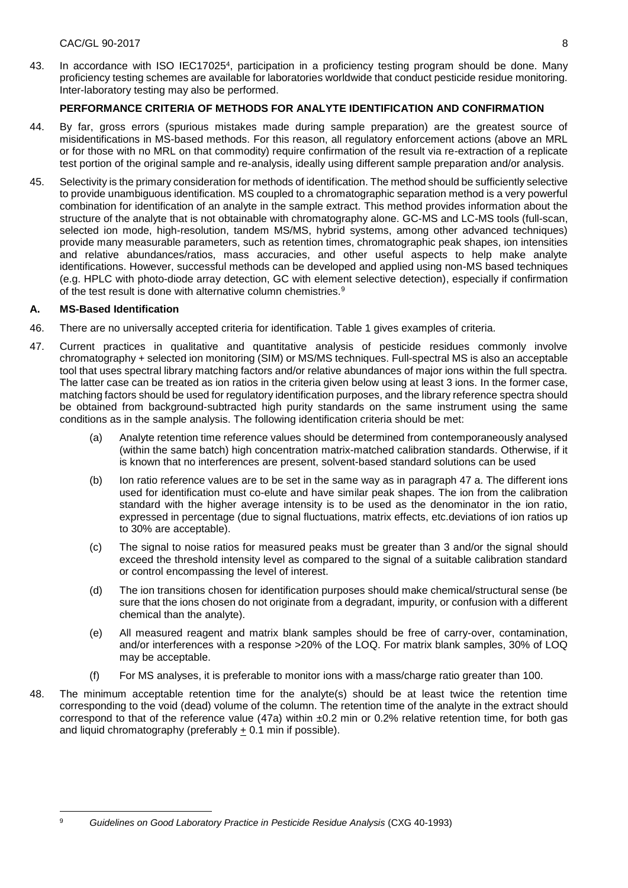43. In accordance with ISO IEC17025<sup>4</sup>, participation in a proficiency testing program should be done. Many proficiency testing schemes are available for laboratories worldwide that conduct pesticide residue monitoring. Inter-laboratory testing may also be performed.

# **PERFORMANCE CRITERIA OF METHODS FOR ANALYTE IDENTIFICATION AND CONFIRMATION**

- 44. By far, gross errors (spurious mistakes made during sample preparation) are the greatest source of misidentifications in MS-based methods. For this reason, all regulatory enforcement actions (above an MRL or for those with no MRL on that commodity) require confirmation of the result via re-extraction of a replicate test portion of the original sample and re-analysis, ideally using different sample preparation and/or analysis.
- 45. Selectivity is the primary consideration for methods of identification. The method should be sufficiently selective to provide unambiguous identification. MS coupled to a chromatographic separation method is a very powerful combination for identification of an analyte in the sample extract. This method provides information about the structure of the analyte that is not obtainable with chromatography alone. GC-MS and LC-MS tools (full-scan, selected ion mode, high-resolution, tandem MS/MS, hybrid systems, among other advanced techniques) provide many measurable parameters, such as retention times, chromatographic peak shapes, ion intensities and relative abundances/ratios, mass accuracies, and other useful aspects to help make analyte identifications. However, successful methods can be developed and applied using non-MS based techniques (e.g. HPLC with photo-diode array detection, GC with element selective detection), especially if confirmation of the test result is done with alternative column chemistries.<sup>9</sup>

# **A. MS-Based Identification**

- 46. There are no universally accepted criteria for identification. Table 1 gives examples of criteria.
- 47. Current practices in qualitative and quantitative analysis of pesticide residues commonly involve chromatography + selected ion monitoring (SIM) or MS/MS techniques. Full-spectral MS is also an acceptable tool that uses spectral library matching factors and/or relative abundances of major ions within the full spectra. The latter case can be treated as ion ratios in the criteria given below using at least 3 ions. In the former case, matching factors should be used for regulatory identification purposes, and the library reference spectra should be obtained from background-subtracted high purity standards on the same instrument using the same conditions as in the sample analysis. The following identification criteria should be met:
	- (a) Analyte retention time reference values should be determined from contemporaneously analysed (within the same batch) high concentration matrix-matched calibration standards. Otherwise, if it is known that no interferences are present, solvent-based standard solutions can be used
	- (b) Ion ratio reference values are to be set in the same way as in paragraph 47 a. The different ions used for identification must co-elute and have similar peak shapes. The ion from the calibration standard with the higher average intensity is to be used as the denominator in the ion ratio, expressed in percentage (due to signal fluctuations, matrix effects, etc.deviations of ion ratios up to 30% are acceptable).
	- (c) The signal to noise ratios for measured peaks must be greater than 3 and/or the signal should exceed the threshold intensity level as compared to the signal of a suitable calibration standard or control encompassing the level of interest.
	- (d) The ion transitions chosen for identification purposes should make chemical/structural sense (be sure that the ions chosen do not originate from a degradant, impurity, or confusion with a different chemical than the analyte).
	- (e) All measured reagent and matrix blank samples should be free of carry-over, contamination, and/or interferences with a response >20% of the LOQ. For matrix blank samples, 30% of LOQ may be acceptable.
	- (f) For MS analyses, it is preferable to monitor ions with a mass/charge ratio greater than 100.
- 48. The minimum acceptable retention time for the analyte(s) should be at least twice the retention time corresponding to the void (dead) volume of the column. The retention time of the analyte in the extract should correspond to that of the reference value (47a) within  $\pm 0.2$  min or 0.2% relative retention time, for both gas and liquid chromatography (preferably + 0.1 min if possible).

1

<sup>9</sup> *Guidelines on Good Laboratory Practice in Pesticide Residue Analysis* (CXG 40-1993)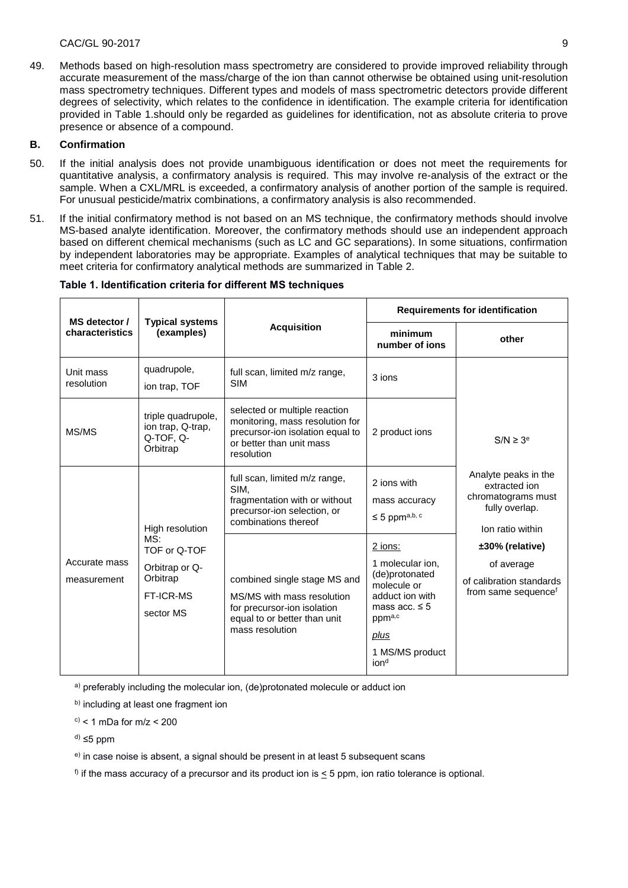#### CAC/GL 90-2017 9

49. Methods based on high-resolution mass spectrometry are considered to provide improved reliability through accurate measurement of the mass/charge of the ion than cannot otherwise be obtained using unit-resolution mass spectrometry techniques. Different types and models of mass spectrometric detectors provide different degrees of selectivity, which relates to the confidence in identification. The example criteria for identification provided in Table 1.should only be regarded as guidelines for identification, not as absolute criteria to prove presence or absence of a compound.

#### **B. Confirmation**

- 50. If the initial analysis does not provide unambiguous identification or does not meet the requirements for quantitative analysis, a confirmatory analysis is required. This may involve re-analysis of the extract or the sample. When a CXL/MRL is exceeded, a confirmatory analysis of another portion of the sample is required. For unusual pesticide/matrix combinations, a confirmatory analysis is also recommended.
- 51. If the initial confirmatory method is not based on an MS technique, the confirmatory methods should involve MS-based analyte identification. Moreover, the confirmatory methods should use an independent approach based on different chemical mechanisms (such as LC and GC separations). In some situations, confirmation by independent laboratories may be appropriate. Examples of analytical techniques that may be suitable to meet criteria for confirmatory analytical methods are summarized in Table 2.

| MS detector /<br>characteristics | <b>Typical systems</b><br>(examples)                                                                  | <b>Acquisition</b>                                                                                                                             | <b>Requirements for identification</b>                                                                                                                         |                                                                                                                                                                                                                     |
|----------------------------------|-------------------------------------------------------------------------------------------------------|------------------------------------------------------------------------------------------------------------------------------------------------|----------------------------------------------------------------------------------------------------------------------------------------------------------------|---------------------------------------------------------------------------------------------------------------------------------------------------------------------------------------------------------------------|
|                                  |                                                                                                       |                                                                                                                                                | minimum<br>number of jons                                                                                                                                      | other                                                                                                                                                                                                               |
| Unit mass<br>resolution          | quadrupole,<br>ion trap, TOF                                                                          | full scan, limited m/z range,<br><b>SIM</b>                                                                                                    | 3 ions                                                                                                                                                         | $S/N \geq 3^e$<br>Analyte peaks in the<br>extracted ion<br>chromatograms must<br>fully overlap.<br>Ion ratio within<br>±30% (relative)<br>of average<br>of calibration standards<br>from same sequence <sup>t</sup> |
| MS/MS                            | triple quadrupole,<br>ion trap, Q-trap,<br>Q-TOF, Q-<br>Orbitrap                                      | selected or multiple reaction<br>monitoring, mass resolution for<br>precursor-ion isolation equal to<br>or better than unit mass<br>resolution | 2 product ions                                                                                                                                                 |                                                                                                                                                                                                                     |
| Accurate mass<br>measurement     | High resolution<br>MS:<br>TOF or Q-TOF<br>Orbitrap or Q-<br>Orbitrap<br><b>FT-ICR-MS</b><br>sector MS | full scan, limited m/z range,<br>SIM.<br>fragmentation with or without<br>precursor-ion selection, or<br>combinations thereof                  | 2 ions with<br>mass accuracy<br>$\leq$ 5 ppma,b, c                                                                                                             |                                                                                                                                                                                                                     |
|                                  |                                                                                                       | combined single stage MS and<br>MS/MS with mass resolution<br>for precursor-ion isolation<br>equal to or better than unit<br>mass resolution   | 2 ions:<br>1 molecular ion,<br>(de)protonated<br>molecule or<br>adduct ion with<br>mass acc. $\leq 5$<br>ppma,c<br>plus<br>1 MS/MS product<br>ion <sup>d</sup> |                                                                                                                                                                                                                     |

## **Table 1. Identification criteria for different MS techniques**

a) preferably including the molecular ion, (de)protonated molecule or adduct ion

b) including at least one fragment ion

 $c$ ) < 1 mDa for m/z < 200

 $d) \leq 5$  ppm

e) in case noise is absent, a signal should be present in at least 5 subsequent scans

 $\beta$  if the mass accuracy of a precursor and its product ion is  $\leq$  5 ppm, ion ratio tolerance is optional.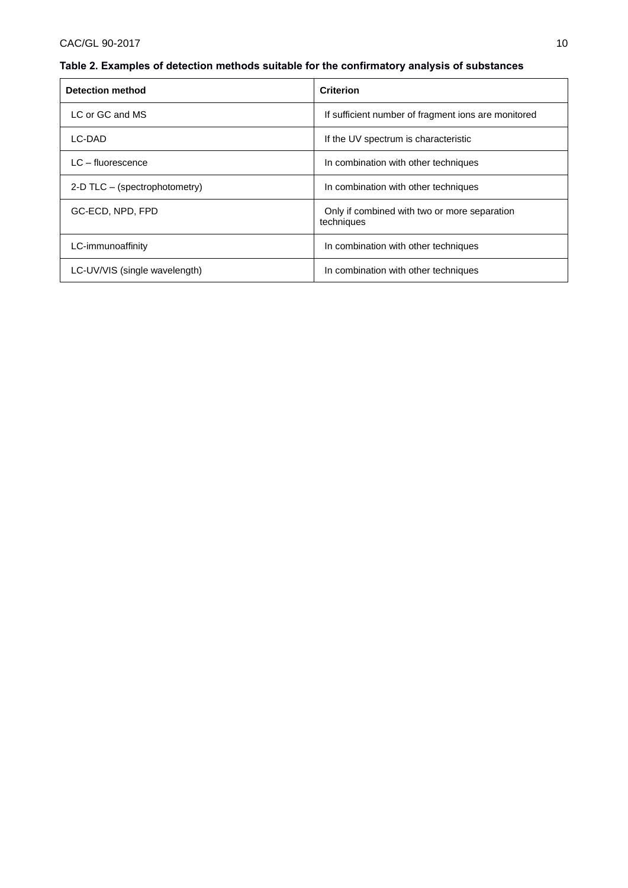# CAC/GL 90-2017 10

# **Table 2. Examples of detection methods suitable for the confirmatory analysis of substances**

| <b>Detection method</b>       | <b>Criterion</b>                                           |  |
|-------------------------------|------------------------------------------------------------|--|
| LC or GC and MS               | If sufficient number of fragment ions are monitored        |  |
| LC-DAD                        | If the UV spectrum is characteristic                       |  |
| $LC$ – fluorescence           | In combination with other techniques                       |  |
| 2-D TLC - (spectrophotometry) | In combination with other techniques                       |  |
| GC-ECD, NPD, FPD              | Only if combined with two or more separation<br>techniques |  |
| LC-immunoaffinity             | In combination with other techniques                       |  |
| LC-UV/VIS (single wavelength) | In combination with other techniques                       |  |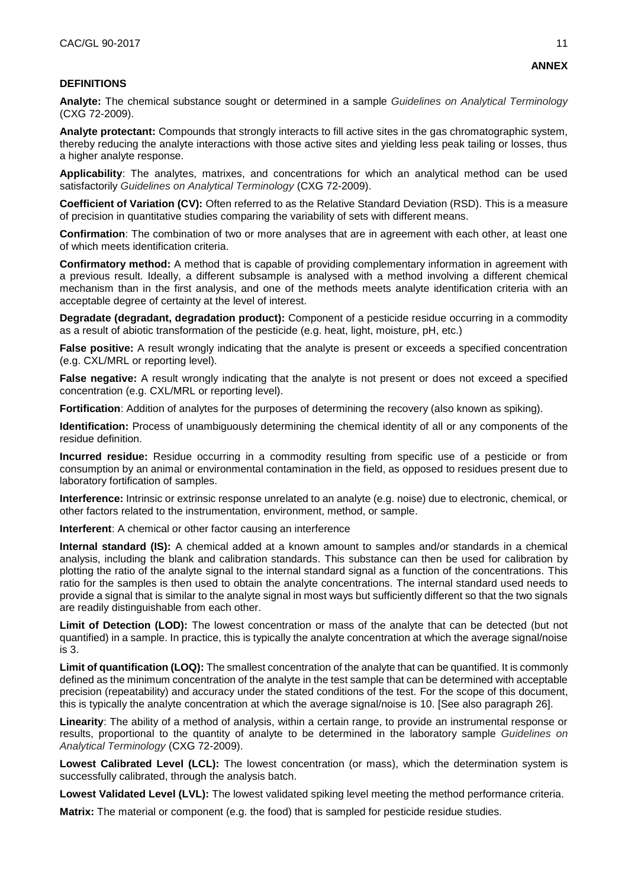#### **DEFINITIONS**

**Analyte:** The chemical substance sought or determined in a sample *Guidelines on Analytical Terminology* (CXG 72-2009).

**Analyte protectant:** Compounds that strongly interacts to fill active sites in the gas chromatographic system, thereby reducing the analyte interactions with those active sites and yielding less peak tailing or losses, thus a higher analyte response.

**Applicability**: The analytes, matrixes, and concentrations for which an analytical method can be used satisfactorily *Guidelines on Analytical Terminology* (CXG 72-2009).

**Coefficient of Variation (CV):** Often referred to as the Relative Standard Deviation (RSD). This is a measure of precision in quantitative studies comparing the variability of sets with different means.

**Confirmation**: The combination of two or more analyses that are in agreement with each other, at least one of which meets identification criteria.

**Confirmatory method:** A method that is capable of providing complementary information in agreement with a previous result. Ideally, a different subsample is analysed with a method involving a different chemical mechanism than in the first analysis, and one of the methods meets analyte identification criteria with an acceptable degree of certainty at the level of interest.

**Degradate (degradant, degradation product):** Component of a pesticide residue occurring in a commodity as a result of abiotic transformation of the pesticide (e.g. heat, light, moisture, pH, etc.)

**False positive:** A result wrongly indicating that the analyte is present or exceeds a specified concentration (e.g. CXL/MRL or reporting level).

**False negative:** A result wrongly indicating that the analyte is not present or does not exceed a specified concentration (e.g. CXL/MRL or reporting level).

**Fortification**: Addition of analytes for the purposes of determining the recovery (also known as spiking).

**Identification:** Process of unambiguously determining the chemical identity of all or any components of the residue definition.

**Incurred residue:** Residue occurring in a commodity resulting from specific use of a pesticide or from consumption by an animal or environmental contamination in the field, as opposed to residues present due to laboratory fortification of samples.

**Interference:** Intrinsic or extrinsic response unrelated to an analyte (e.g. noise) due to electronic, chemical, or other factors related to the instrumentation, environment, method, or sample.

**Interferent**: A chemical or other factor causing an interference

**Internal standard (IS):** A chemical added at a known amount to samples and/or standards in a chemical analysis, including the blank and calibration standards. This substance can then be used for calibration by plotting the ratio of the analyte signal to the internal standard signal as a function of the concentrations. This ratio for the samples is then used to obtain the analyte concentrations. The internal standard used needs to provide a signal that is similar to the analyte signal in most ways but sufficiently different so that the two signals are readily distinguishable from each other.

**Limit of Detection (LOD):** The lowest concentration or mass of the analyte that can be detected (but not quantified) in a sample. In practice, this is typically the analyte concentration at which the average signal/noise is 3.

**Limit of quantification (LOQ):** The smallest concentration of the analyte that can be quantified. It is commonly defined as the minimum concentration of the analyte in the test sample that can be determined with acceptable precision (repeatability) and accuracy under the stated conditions of the test. For the scope of this document, this is typically the analyte concentration at which the average signal/noise is 10. [See also paragraph 26].

**Linearity**: The ability of a method of analysis, within a certain range, to provide an instrumental response or results, proportional to the quantity of analyte to be determined in the laboratory sample *Guidelines on Analytical Terminology* (CXG 72-2009).

**Lowest Calibrated Level (LCL):** The lowest concentration (or mass), which the determination system is successfully calibrated, through the analysis batch.

**Lowest Validated Level (LVL):** The lowest validated spiking level meeting the method performance criteria.

**Matrix:** The material or component (e.g. the food) that is sampled for pesticide residue studies.

**ANNEX**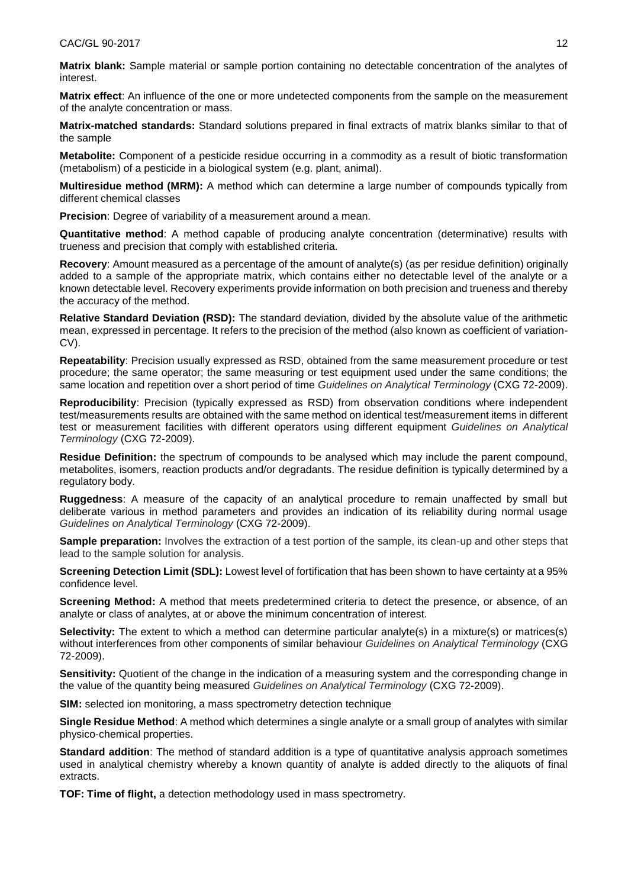**Matrix blank:** Sample material or sample portion containing no detectable concentration of the analytes of interest.

**Matrix effect**: An influence of the one or more undetected components from the sample on the measurement of the analyte concentration or mass.

**Matrix-matched standards:** Standard solutions prepared in final extracts of matrix blanks similar to that of the sample

**Metabolite:** Component of a pesticide residue occurring in a commodity as a result of biotic transformation (metabolism) of a pesticide in a biological system (e.g. plant, animal).

**Multiresidue method (MRM):** A method which can determine a large number of compounds typically from different chemical classes

**Precision**: Degree of variability of a measurement around a mean.

**Quantitative method**: A method capable of producing analyte concentration (determinative) results with trueness and precision that comply with established criteria.

**Recovery**: Amount measured as a percentage of the amount of analyte(s) (as per residue definition) originally added to a sample of the appropriate matrix, which contains either no detectable level of the analyte or a known detectable level. Recovery experiments provide information on both precision and trueness and thereby the accuracy of the method.

**Relative Standard Deviation (RSD):** The standard deviation, divided by the absolute value of the arithmetic mean, expressed in percentage. It refers to the precision of the method (also known as coefficient of variation-CV).

**Repeatability**: Precision usually expressed as RSD, obtained from the same measurement procedure or test procedure; the same operator; the same measuring or test equipment used under the same conditions; the same location and repetition over a short period of time *Guidelines on Analytical Terminology* (CXG 72-2009).

**Reproducibility**: Precision (typically expressed as RSD) from observation conditions where independent test/measurements results are obtained with the same method on identical test/measurement items in different test or measurement facilities with different operators using different equipment *Guidelines on Analytical Terminology* (CXG 72-2009).

**Residue Definition:** the spectrum of compounds to be analysed which may include the parent compound, metabolites, isomers, reaction products and/or degradants. The residue definition is typically determined by a regulatory body.

**Ruggedness**: A measure of the capacity of an analytical procedure to remain unaffected by small but deliberate various in method parameters and provides an indication of its reliability during normal usage *Guidelines on Analytical Terminology* (CXG 72-2009).

**Sample preparation:** Involves the extraction of a test portion of the sample, its clean-up and other steps that lead to the sample solution for analysis.

**Screening Detection Limit (SDL):** Lowest level of fortification that has been shown to have certainty at a 95% confidence level.

**Screening Method:** A method that meets predetermined criteria to detect the presence, or absence, of an analyte or class of analytes, at or above the minimum concentration of interest.

**Selectivity:** The extent to which a method can determine particular analyte(s) in a mixture(s) or matrices(s) without interferences from other components of similar behaviour *Guidelines on Analytical Terminology* (CXG 72-2009).

**Sensitivity:** Quotient of the change in the indication of a measuring system and the corresponding change in the value of the quantity being measured *Guidelines on Analytical Terminology* (CXG 72-2009).

**SIM:** selected ion monitoring, a mass spectrometry detection technique

**Single Residue Method**: A method which determines a single analyte or a small group of analytes with similar physico-chemical properties.

**Standard addition**: The method of standard addition is a type of quantitative analysis approach sometimes used in analytical chemistry whereby a known quantity of analyte is added directly to the aliquots of final extracts.

**TOF: Time of flight,** a detection methodology used in mass spectrometry.